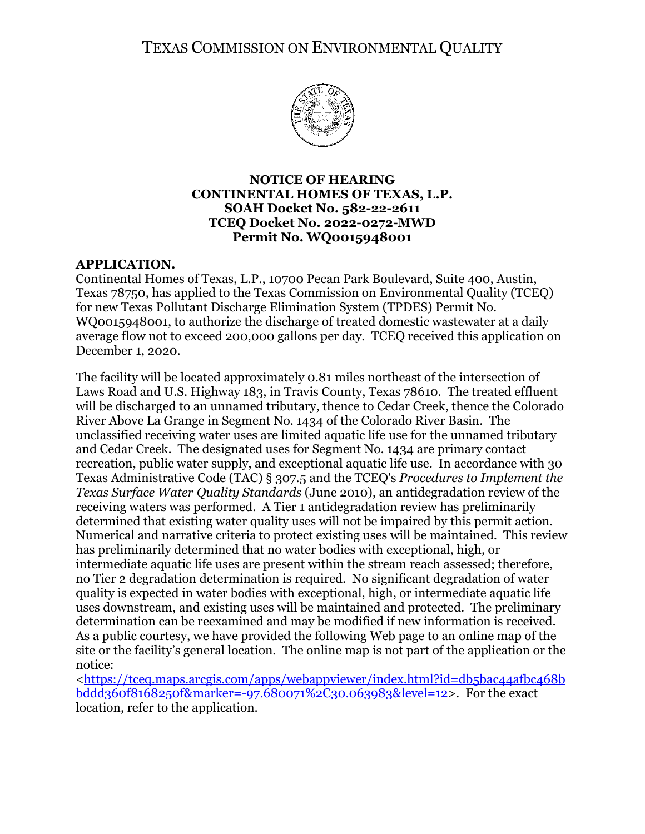TEXAS COMMISSION ON ENVIRONMENTAL QUALITY



### **NOTICE OF HEARING CONTINENTAL HOMES OF TEXAS, L.P. SOAH Docket No. 582-22-2611 TCEQ Docket No. 2022-0272-MWD Permit No. WQ0015948001**

# **APPLICATION.**

Continental Homes of Texas, L.P., 10700 Pecan Park Boulevard, Suite 400, Austin, Texas 78750, has applied to the Texas Commission on Environmental Quality (TCEQ) for new Texas Pollutant Discharge Elimination System (TPDES) Permit No. WQ0015948001, to authorize the discharge of treated domestic wastewater at a daily average flow not to exceed 200,000 gallons per day. TCEQ received this application on December 1, 2020.

The facility will be located approximately 0.81 miles northeast of the intersection of Laws Road and U.S. Highway 183, in Travis County, Texas 78610. The treated effluent will be discharged to an unnamed tributary, thence to Cedar Creek, thence the Colorado River Above La Grange in Segment No. 1434 of the Colorado River Basin. The unclassified receiving water uses are limited aquatic life use for the unnamed tributary and Cedar Creek. The designated uses for Segment No. 1434 are primary contact recreation, public water supply, and exceptional aquatic life use. In accordance with 30 Texas Administrative Code (TAC) § 307.5 and the TCEQ's *Procedures to Implement the Texas Surface Water Quality Standards* (June 2010), an antidegradation review of the receiving waters was performed. A Tier 1 antidegradation review has preliminarily determined that existing water quality uses will not be impaired by this permit action. Numerical and narrative criteria to protect existing uses will be maintained. This review has preliminarily determined that no water bodies with exceptional, high, or intermediate aquatic life uses are present within the stream reach assessed; therefore, no Tier 2 degradation determination is required. No significant degradation of water quality is expected in water bodies with exceptional, high, or intermediate aquatic life uses downstream, and existing uses will be maintained and protected. The preliminary determination can be reexamined and may be modified if new information is received. As a public courtesy, we have provided the following Web page to an online map of the site or the facility's general location. The online map is not part of the application or the notice:

[<https://tceq.maps.arcgis.com/apps/webappviewer/index.html?id=db5bac44afbc468b](https://tceq.maps.arcgis.com/apps/webappviewer/index.html?id=db5bac44afbc468bbddd360f8168250f&marker=-97.680071%2C30.063983&level=12) [bddd360f8168250f&marker=-97.680071%2C30.063983&level=12>](https://tceq.maps.arcgis.com/apps/webappviewer/index.html?id=db5bac44afbc468bbddd360f8168250f&marker=-97.680071%2C30.063983&level=12). For the exact location, refer to the application.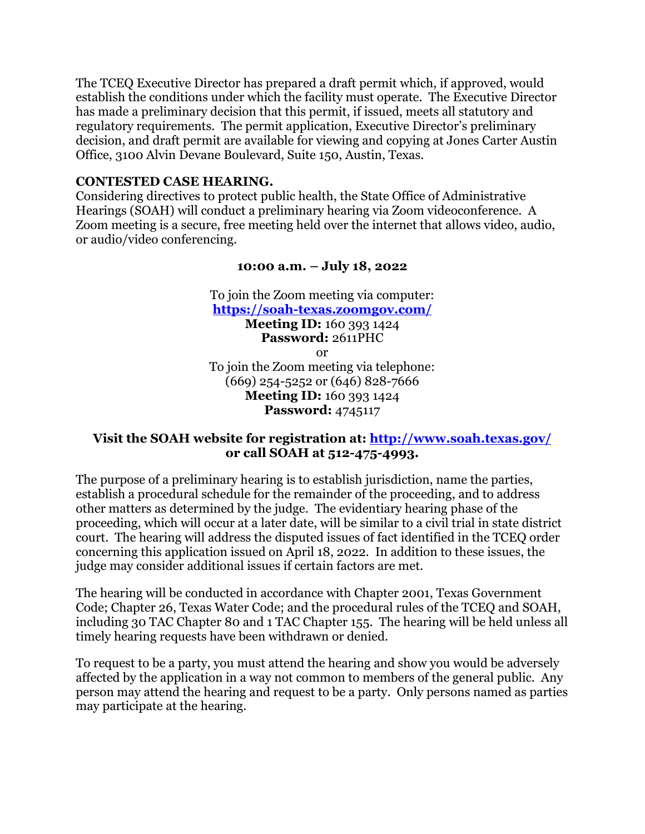The TCEQ Executive Director has prepared a draft permit which, if approved, would establish the conditions under which the facility must operate. The Executive Director has made a preliminary decision that this permit, if issued, meets all statutory and regulatory requirements. The permit application, Executive Director's preliminary decision, and draft permit are available for viewing and copying at Jones Carter Austin Office, 3100 Alvin Devane Boulevard, Suite 150, Austin, Texas.

### **CONTESTED CASE HEARING.**

Considering directives to protect public health, the State Office of Administrative Hearings (SOAH) will conduct a preliminary hearing via Zoom videoconference. A Zoom meeting is a secure, free meeting held over the internet that allows video, audio, or audio/video conferencing.

#### **10:00 a.m. – July 18, 2022**

To join the Zoom meeting via computer: **<https://soah-texas.zoomgov.com/> Meeting ID:** 160 393 1424 **Password:** 2611PHC or To join the Zoom meeting via telephone: (669) 254-5252 or (646) 828-7666 **Meeting ID:** 160 393 1424 **Password:** 4745117

# **Visit the SOAH website for registration at:<http://www.soah.texas.gov/> or call SOAH at 512-475-4993.**

The purpose of a preliminary hearing is to establish jurisdiction, name the parties, establish a procedural schedule for the remainder of the proceeding, and to address other matters as determined by the judge. The evidentiary hearing phase of the proceeding, which will occur at a later date, will be similar to a civil trial in state district court. The hearing will address the disputed issues of fact identified in the TCEQ order concerning this application issued on April 18, 2022. In addition to these issues, the judge may consider additional issues if certain factors are met.

The hearing will be conducted in accordance with Chapter 2001, Texas Government Code; Chapter 26, Texas Water Code; and the procedural rules of the TCEQ and SOAH, including 30 TAC Chapter 80 and 1 TAC Chapter 155. The hearing will be held unless all timely hearing requests have been withdrawn or denied.

To request to be a party, you must attend the hearing and show you would be adversely affected by the application in a way not common to members of the general public. Any person may attend the hearing and request to be a party. Only persons named as parties may participate at the hearing.